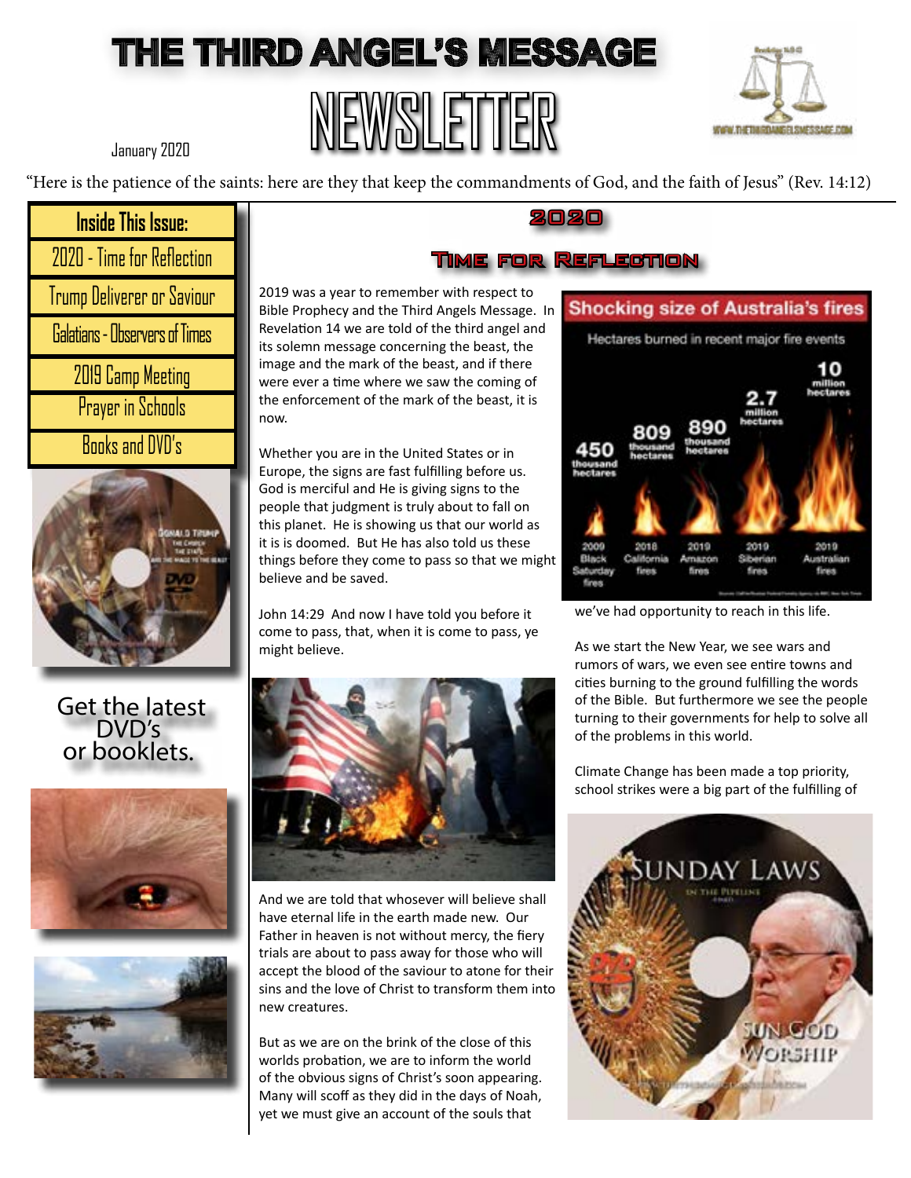### THE THIRD ANGEL'S MESSAGE

# NEWSLETTER



January 2020

"Here is the patience of the saints: here are they that keep the commandments of God, and the faith of Jesus" (Rev. 14:12)

#### **Inside This Issue:**

| 2020 - Time for Reflection            |
|---------------------------------------|
| Trump Deliverer or Saviour            |
| <b>Galatians - Observers of Times</b> |
| 2019 Camp Meeting                     |
| Prayer in Schools                     |
| <b>Books and DVD's</b>                |



#### Get the latest DVD's or booklets.





And we are told that whosever will believe shall have eternal life in the earth made new. Our Father in heaven is not without mercy, the fiery trials are about to pass away for those who will accept the blood of the saviour to atone for their sins and the love of Christ to transform them into new creatures.

But as we are on the brink of the close of this worlds probation, we are to inform the world of the obvious signs of Christ's soon appearing. Many will scoff as they did in the days of Noah, yet we must give an account of the souls that

### **Shocking size of Australia's fires** Hectares burned in recent major fire events 2019 2019 2018 Siberian finan

we've had opportunity to reach in this life.

As we start the New Year, we see wars and rumors of wars, we even see entire towns and cities burning to the ground fulfilling the words of the Bible. But furthermore we see the people turning to their governments for help to solve all of the problems in this world.

Climate Change has been made a top priority, school strikes were a big part of the fulfilling of



#### 2020

#### Time for Reflection

2019 was a year to remember with respect to Bible Prophecy and the Third Angels Message. In Revelation 14 we are told of the third angel and its solemn message concerning the beast, the image and the mark of the beast, and if there were ever a time where we saw the coming of the enforcement of the mark of the beast, it is now.

 Whether you are in the United States or in Europe, the signs are fast fulfilling before us. God is merciful and He is giving signs to the people that judgment is truly about to fall on this planet. He is showing us that our world as it is is doomed. But He has also told us these things before they come to pass so that we might believe and be saved.

John 14:29 And now I have told you before it come to pass, that, when it is come to pass, ye might believe.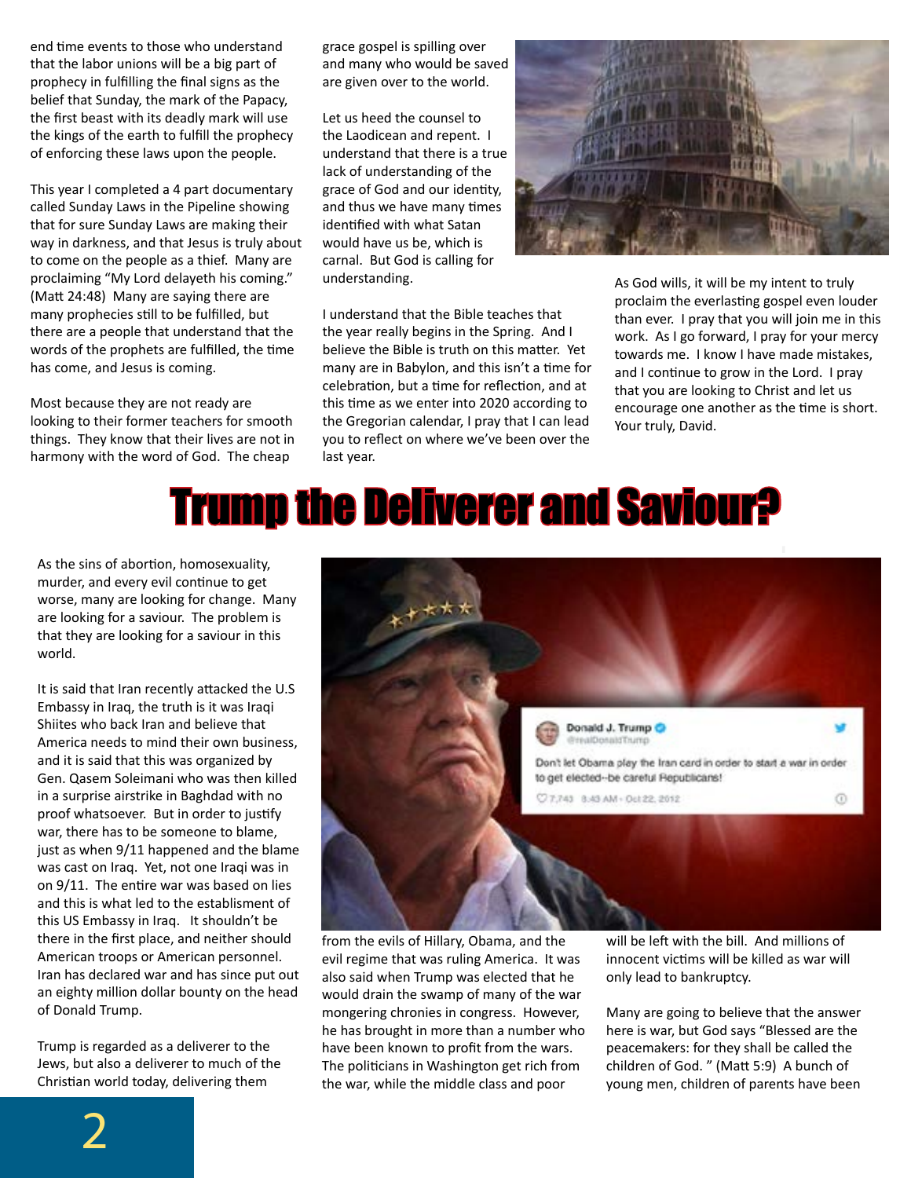end time events to those who understand that the labor unions will be a big part of prophecy in fulfilling the final signs as the belief that Sunday, the mark of the Papacy, the first beast with its deadly mark will use the kings of the earth to fulfill the prophecy of enforcing these laws upon the people.

This year I completed a 4 part documentary called Sunday Laws in the Pipeline showing that for sure Sunday Laws are making their way in darkness, and that Jesus is truly about to come on the people as a thief. Many are proclaiming "My Lord delayeth his coming." (Matt 24:48) Many are saying there are many prophecies still to be fulfilled, but there are a people that understand that the words of the prophets are fulfilled, the time has come, and Jesus is coming.

Most because they are not ready are looking to their former teachers for smooth things. They know that their lives are not in harmony with the word of God. The cheap

grace gospel is spilling over and many who would be saved are given over to the world.

Let us heed the counsel to the Laodicean and repent. I understand that there is a true lack of understanding of the grace of God and our identity, and thus we have many times identified with what Satan would have us be, which is carnal. But God is calling for understanding.



I understand that the Bible teaches that the year really begins in the Spring. And I believe the Bible is truth on this matter. Yet many are in Babylon, and this isn't a time for celebration, but a time for reflection, and at this time as we enter into 2020 according to the Gregorian calendar, I pray that I can lead you to reflect on where we've been over the last year.

As God wills, it will be my intent to truly proclaim the everlasting gospel even louder than ever. I pray that you will join me in this work. As I go forward, I pray for your mercy towards me. I know I have made mistakes, and I continue to grow in the Lord. I pray that you are looking to Christ and let us encourage one another as the time is short. Your truly, David.

## Trump the Deliverer and Saviour?

As the sins of abortion, homosexuality, murder, and every evil continue to get worse, many are looking for change. Many are looking for a saviour. The problem is that they are looking for a saviour in this world.

It is said that Iran recently attacked the U.S Embassy in Iraq, the truth is it was Iraqi Shiites who back Iran and believe that America needs to mind their own business, and it is said that this was organized by Gen. Qasem Soleimani who was then killed in a surprise airstrike in Baghdad with no proof whatsoever. But in order to justify war, there has to be someone to blame, just as when 9/11 happened and the blame was cast on Iraq. Yet, not one Iraqi was in on 9/11. The entire war was based on lies and this is what led to the establisment of this US Embassy in Iraq. It shouldn't be there in the first place, and neither should American troops or American personnel. Iran has declared war and has since put out an eighty million dollar bounty on the head of Donald Trump.

Trump is regarded as a deliverer to the Jews, but also a deliverer to much of the Christian world today, delivering them



from the evils of Hillary, Obama, and the evil regime that was ruling America. It was also said when Trump was elected that he would drain the swamp of many of the war mongering chronies in congress. However, he has brought in more than a number who have been known to profit from the wars. The politicians in Washington get rich from the war, while the middle class and poor

will be left with the bill. And millions of innocent victims will be killed as war will only lead to bankruptcy.

Many are going to believe that the answer here is war, but God says "Blessed are the peacemakers: for they shall be called the children of God. " (Matt 5:9) A bunch of young men, children of parents have been

2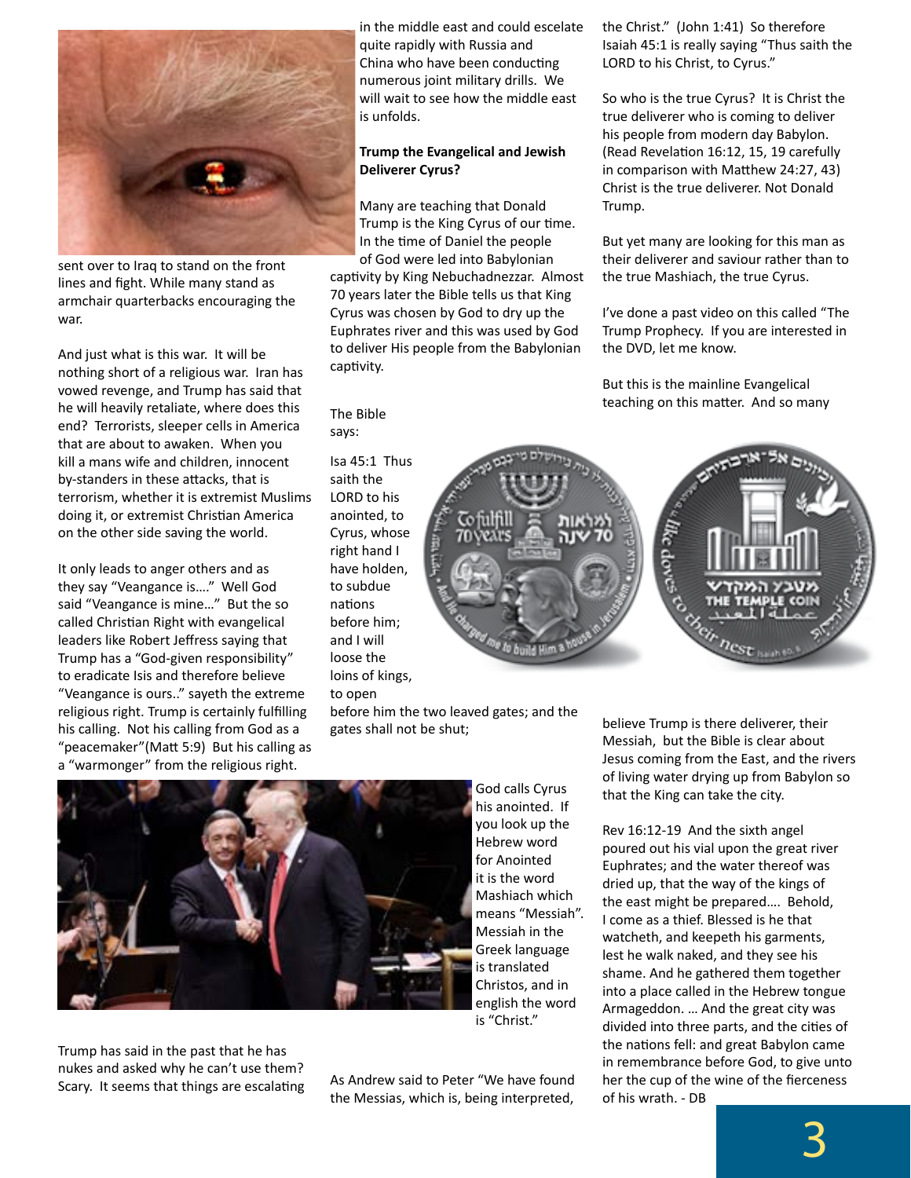

sent over to Iraq to stand on the front lines and fight. While many stand as armchair quarterbacks encouraging the war.

And just what is this war. It will be nothing short of a religious war. Iran has vowed revenge, and Trump has said that he will heavily retaliate, where does this end? Terrorists, sleeper cells in America that are about to awaken. When you kill a mans wife and children, innocent by-standers in these attacks, that is terrorism, whether it is extremist Muslims doing it, or extremist Christian America on the other side saving the world.

It only leads to anger others and as they say "Veangance is…." Well God said "Veangance is mine…" But the so called Christian Right with evangelical leaders like Robert Jeffress saying that Trump has a "God-given responsibility" to eradicate Isis and therefore believe "Veangance is ours.." sayeth the extreme religious right. Trump is certainly fulfilling his calling. Not his calling from God as a "peacemaker"(Matt 5:9) But his calling as a "warmonger" from the religious right.

in the middle east and could escelate quite rapidly with Russia and China who have been conducting numerous joint military drills. We will wait to see how the middle east is unfolds.

#### **Trump the Evangelical and Jewish Deliverer Cyrus?**

Many are teaching that Donald Trump is the King Cyrus of our time. In the time of Daniel the people of God were led into Babylonian captivity by King Nebuchadnezzar. Almost 70 years later the Bible tells us that King Cyrus was chosen by God to dry up the Euphrates river and this was used by God to deliver His people from the Babylonian captivity.

The Bible says:

Isa 45:1 Thus saith the LORD to his anointed, to Cyrus, whose right hand I have holden, to subdue nations before him; and I will loose the loins of kings, to open

before him the two leaved gates; and the gates shall not be shut;



Trump has said in the past that he has nukes and asked why he can't use them? Scary. It seems that things are escalating

As Andrew said to Peter "We have found the Messias, which is, being interpreted,

the Christ." (John 1:41) So therefore Isaiah 45:1 is really saying "Thus saith the LORD to his Christ, to Cyrus."

So who is the true Cyrus? It is Christ the true deliverer who is coming to deliver his people from modern day Babylon. (Read Revelation 16:12, 15, 19 carefully in comparison with Matthew 24:27, 43) Christ is the true deliverer. Not Donald Trump.

But yet many are looking for this man as their deliverer and saviour rather than to the true Mashiach, the true Cyrus.

I've done a past video on this called "The Trump Prophecy. If you are interested in the DVD, let me know.

But this is the mainline Evangelical teaching on this matter. And so many



believe Trump is there deliverer, their Messiah, but the Bible is clear about Jesus coming from the East, and the rivers of living water drying up from Babylon so that the King can take the city.

Rev 16:12-19 And the sixth angel poured out his vial upon the great river Euphrates; and the water thereof was dried up, that the way of the kings of the east might be prepared…. Behold, I come as a thief. Blessed is he that watcheth, and keepeth his garments, lest he walk naked, and they see his shame. And he gathered them together into a place called in the Hebrew tongue Armageddon. … And the great city was divided into three parts, and the cities of the nations fell: and great Babylon came in remembrance before God, to give unto her the cup of the wine of the fierceness of his wrath. - DB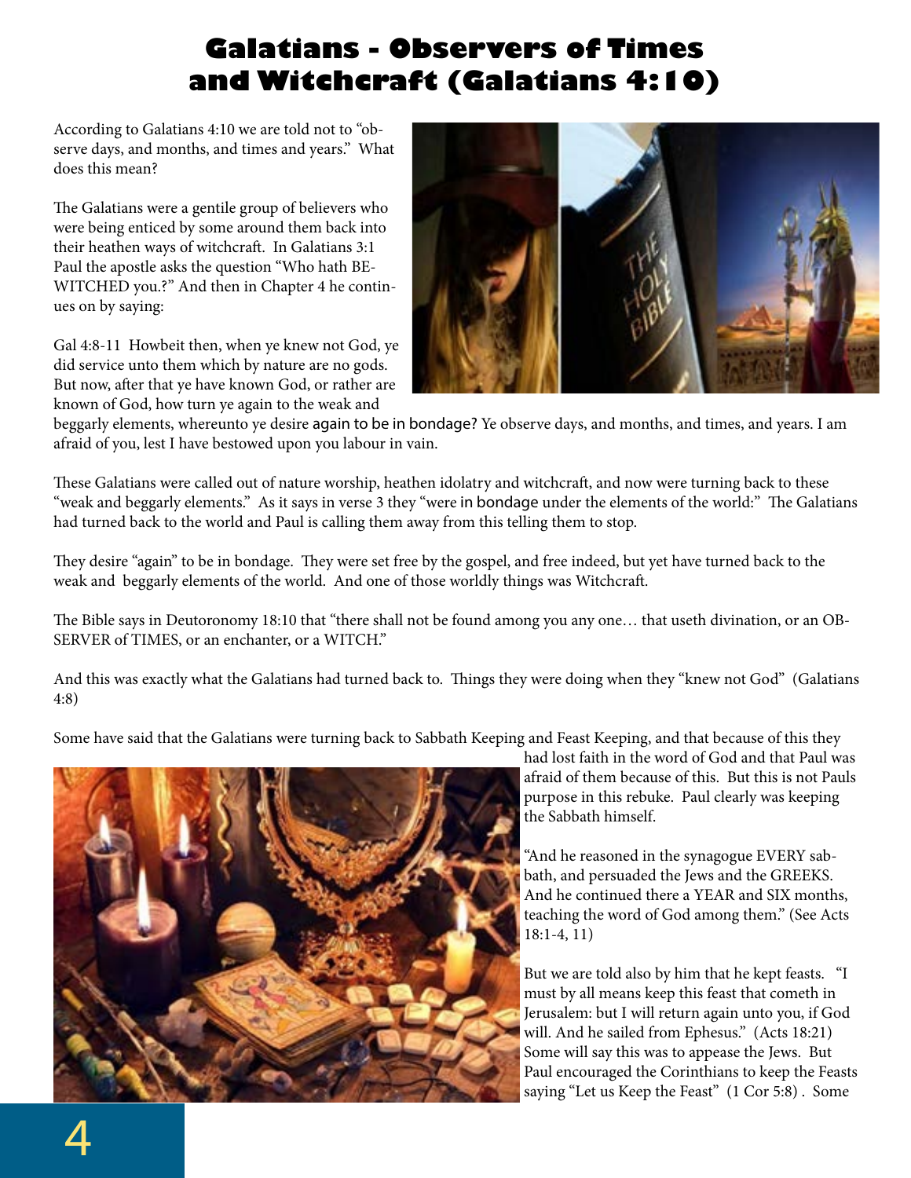### **Galatians - Observers of Times and Witchcraft (Galatians 4:10)**

According to Galatians 4:10 we are told not to "observe days, and months, and times and years." What does this mean?

The Galatians were a gentile group of believers who were being enticed by some around them back into their heathen ways of witchcraft. In Galatians 3:1 Paul the apostle asks the question "Who hath BE-WITCHED you.?" And then in Chapter 4 he continues on by saying:

Gal 4:8-11 Howbeit then, when ye knew not God, ye did service unto them which by nature are no gods. But now, after that ye have known God, or rather are known of God, how turn ye again to the weak and



beggarly elements, whereunto ye desire again to be in bondage? Ye observe days, and months, and times, and years. I am afraid of you, lest I have bestowed upon you labour in vain.

These Galatians were called out of nature worship, heathen idolatry and witchcraft, and now were turning back to these "weak and beggarly elements." As it says in verse 3 they "were in bondage under the elements of the world:" The Galatians had turned back to the world and Paul is calling them away from this telling them to stop.

They desire "again" to be in bondage. They were set free by the gospel, and free indeed, but yet have turned back to the weak and beggarly elements of the world. And one of those worldly things was Witchcraft.

The Bible says in Deutoronomy 18:10 that "there shall not be found among you any one… that useth divination, or an OB-SERVER of TIMES, or an enchanter, or a WITCH."

And this was exactly what the Galatians had turned back to. Things they were doing when they "knew not God" (Galatians 4:8)

Some have said that the Galatians were turning back to Sabbath Keeping and Feast Keeping, and that because of this they



had lost faith in the word of God and that Paul was afraid of them because of this. But this is not Pauls purpose in this rebuke. Paul clearly was keeping the Sabbath himself.

"And he reasoned in the synagogue EVERY sabbath, and persuaded the Jews and the GREEKS. And he continued there a YEAR and SIX months, teaching the word of God among them." (See Acts 18:1-4, 11)

But we are told also by him that he kept feasts. "I must by all means keep this feast that cometh in Jerusalem: but I will return again unto you, if God will. And he sailed from Ephesus." (Acts 18:21) Some will say this was to appease the Jews. But Paul encouraged the Corinthians to keep the Feasts saying "Let us Keep the Feast" (1 Cor 5:8) . Some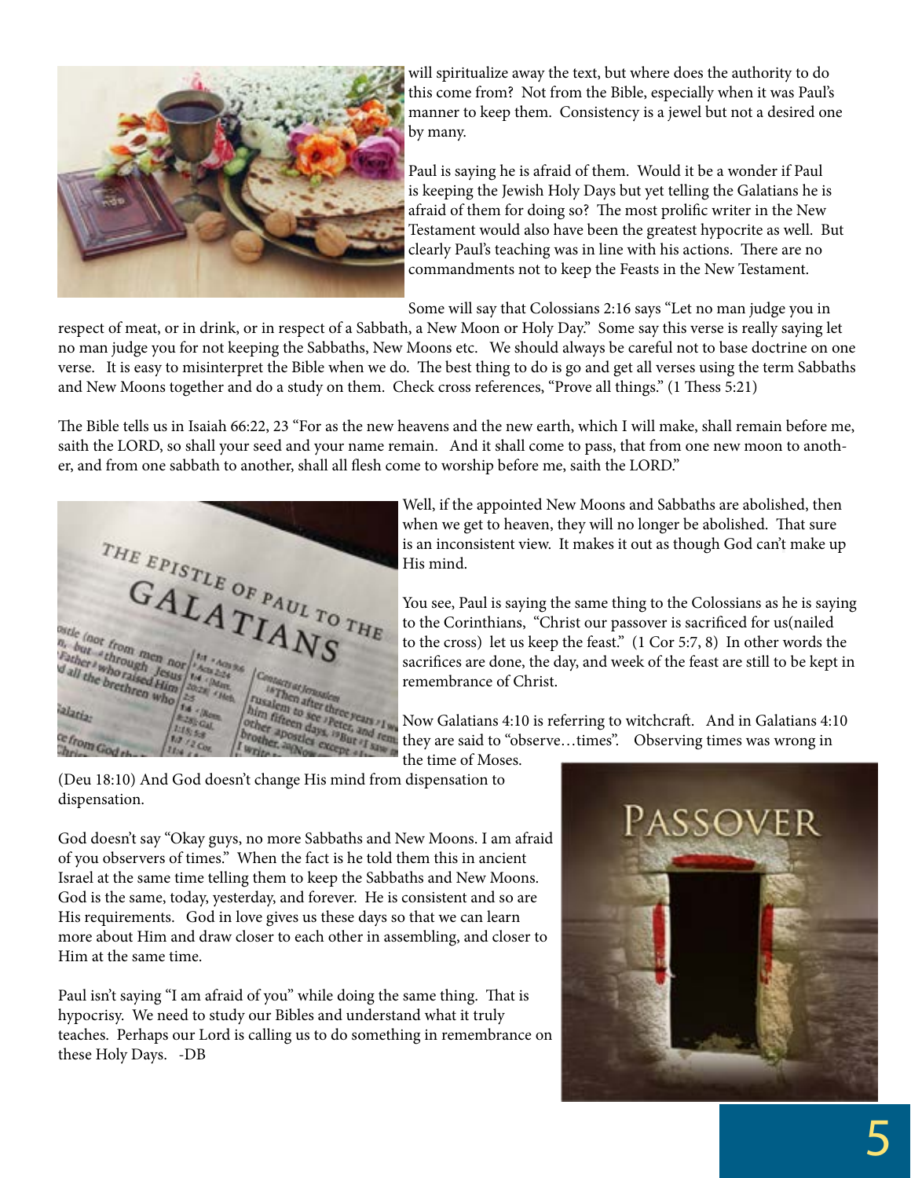

will spiritualize away the text, but where does the authority to do this come from? Not from the Bible, especially when it was Paul's manner to keep them. Consistency is a jewel but not a desired one by many.

Paul is saying he is afraid of them. Would it be a wonder if Paul is keeping the Jewish Holy Days but yet telling the Galatians he is afraid of them for doing so? The most prolific writer in the New Testament would also have been the greatest hypocrite as well. But clearly Paul's teaching was in line with his actions. There are no commandments not to keep the Feasts in the New Testament.

Some will say that Colossians 2:16 says "Let no man judge you in

respect of meat, or in drink, or in respect of a Sabbath, a New Moon or Holy Day." Some say this verse is really saying let no man judge you for not keeping the Sabbaths, New Moons etc. We should always be careful not to base doctrine on one verse. It is easy to misinterpret the Bible when we do. The best thing to do is go and get all verses using the term Sabbaths and New Moons together and do a study on them. Check cross references, "Prove all things." (1 Thess 5:21)

The Bible tells us in Isaiah 66:22, 23 "For as the new heavens and the new earth, which I will make, shall remain before me, saith the LORD, so shall your seed and your name remain. And it shall come to pass, that from one new moon to another, and from one sabbath to another, shall all flesh come to worship before me, saith the LORD."



Well, if the appointed New Moons and Sabbaths are abolished, then when we get to heaven, they will no longer be abolished. That sure is an inconsistent view. It makes it out as though God can't make up His mind.

You see, Paul is saying the same thing to the Colossians as he is saying to the Corinthians, "Christ our passover is sacrificed for us(nailed to the cross) let us keep the feast." (1 Cor 5:7, 8) In other words the sacrifices are done, the day, and week of the feast are still to be kept in remembrance of Christ.

Now Galatians 4:10 is referring to witchcraft. And in Galatians 4:10 they are said to "observe…times". Observing times was wrong in

the time of Moses.

dispensation.

God doesn't say "Okay guys, no more Sabbaths and New Moons. I am afraid of you observers of times." When the fact is he told them this in ancient Israel at the same time telling them to keep the Sabbaths and New Moons. God is the same, today, yesterday, and forever. He is consistent and so are His requirements. God in love gives us these days so that we can learn more about Him and draw closer to each other in assembling, and closer to Him at the same time.

Paul isn't saying "I am afraid of you" while doing the same thing. That is hypocrisy. We need to study our Bibles and understand what it truly teaches. Perhaps our Lord is calling us to do something in remembrance on these Holy Days. -DB

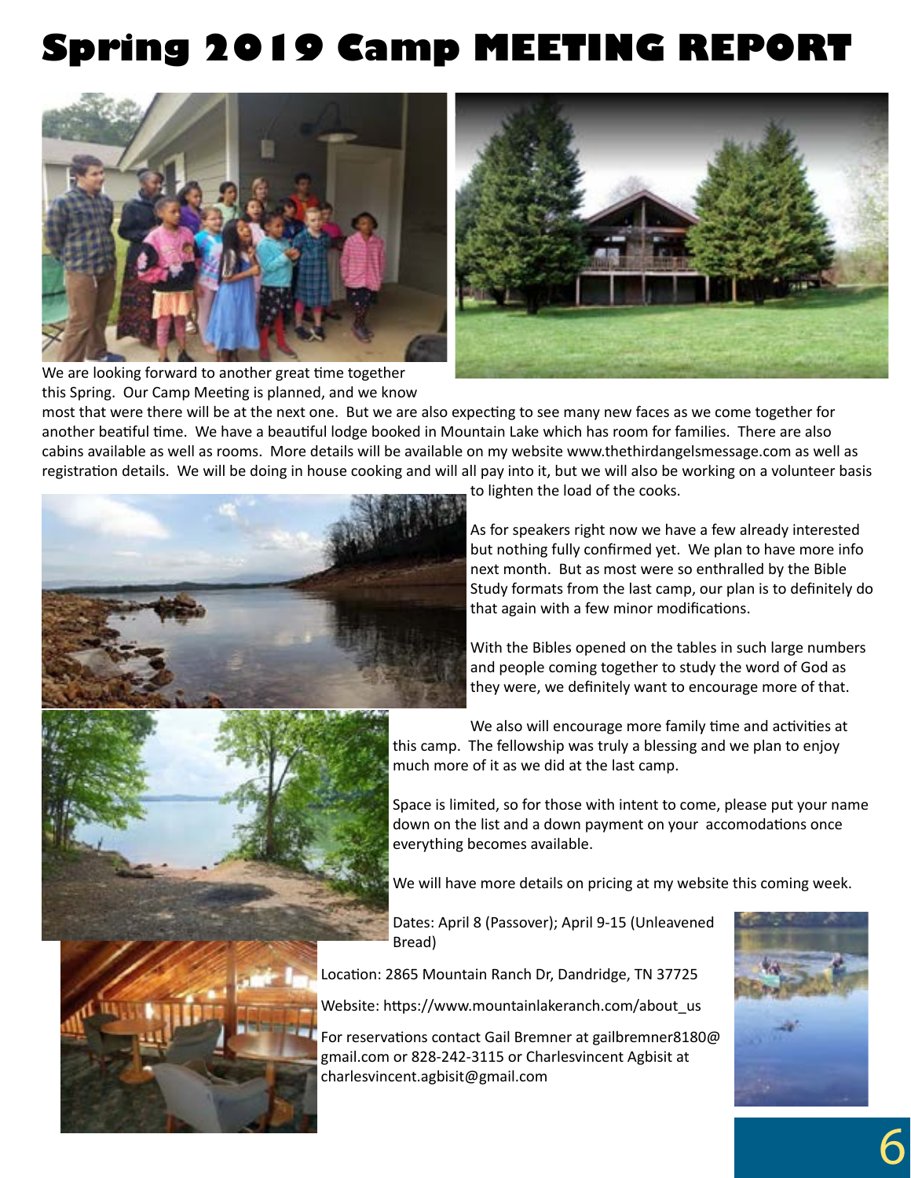### **Spring 2019 Camp MEETING REPORT**





We are looking forward to another great time together this Spring. Our Camp Meeting is planned, and we know

most that were there will be at the next one. But we are also expecting to see many new faces as we come together for another beatiful time. We have a beautiful lodge booked in Mountain Lake which has room for families. There are also cabins available as well as rooms. More details will be available on my website www.thethirdangelsmessage.com as well as registration details. We will be doing in house cooking and will all pay into it, but we will also be working on a volunteer basis



to lighten the load of the cooks.

As for speakers right now we have a few already interested but nothing fully confirmed yet. We plan to have more info next month. But as most were so enthralled by the Bible Study formats from the last camp, our plan is to definitely do that again with a few minor modifications.

With the Bibles opened on the tables in such large numbers and people coming together to study the word of God as they were, we definitely want to encourage more of that.



We also will encourage more family time and activities at this camp. The fellowship was truly a blessing and we plan to enjoy much more of it as we did at the last camp.

Space is limited, so for those with intent to come, please put your name down on the list and a down payment on your accomodations once everything becomes available.

We will have more details on pricing at my website this coming week.

Dates: April 8 (Passover); April 9-15 (Unleavened Bread)

Location: 2865 Mountain Ranch Dr, Dandridge, TN 37725

Website: https://www.mountainlakeranch.com/about\_us

For reservations contact Gail Bremner at gailbremner8180@ gmail.com or 828-242-3115 or Charlesvincent Agbisit at charlesvincent.agbisit@gmail.com



6

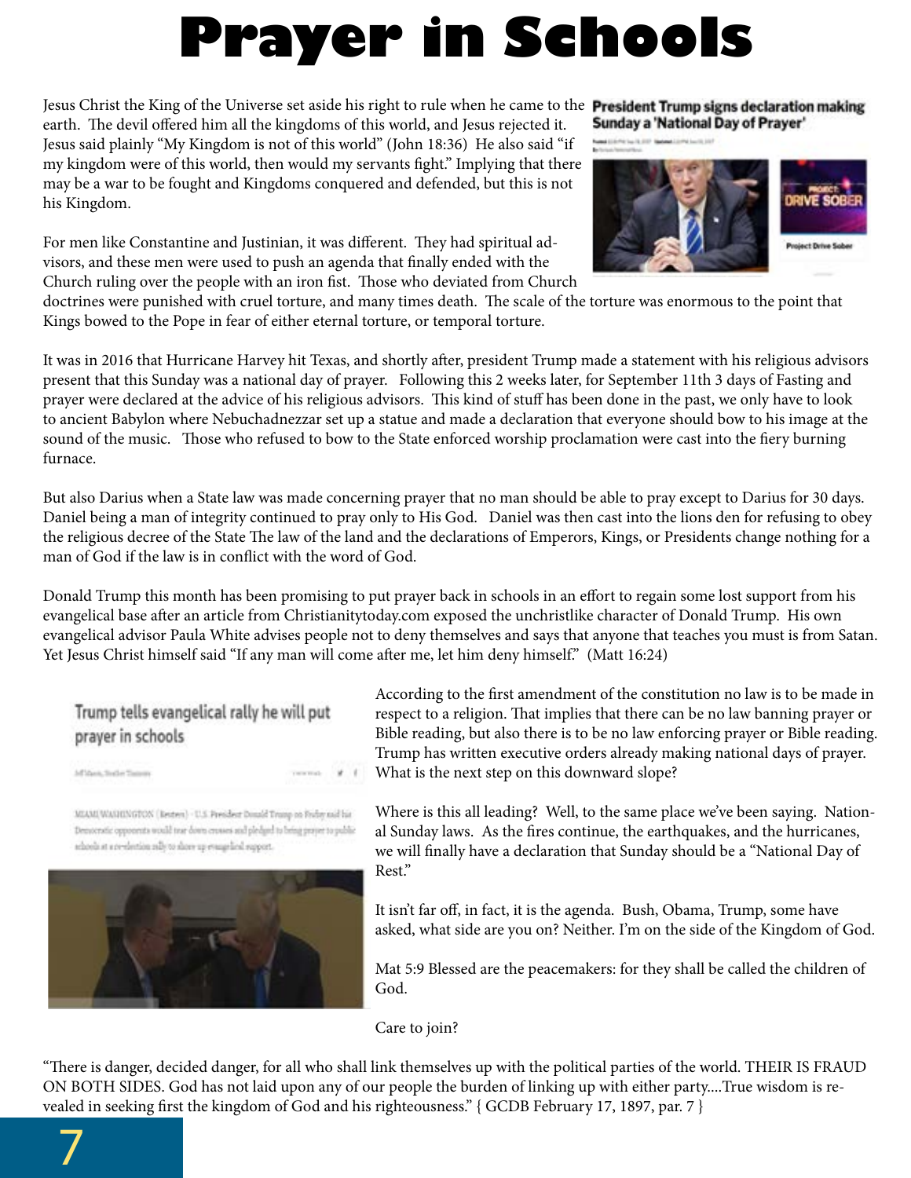## **Prayer in Schools**

Jesus Christ the King of the Universe set aside his right to rule when he came to the **President Trump signs declaration making** earth. The devil offered him all the kingdoms of this world, and Jesus rejected it. Jesus said plainly "My Kingdom is not of this world" (John 18:36) He also said "if my kingdom were of this world, then would my servants fight." Implying that there may be a war to be fought and Kingdoms conquered and defended, but this is not his Kingdom.

For men like Constantine and Justinian, it was different. They had spiritual advisors, and these men were used to push an agenda that finally ended with the Church ruling over the people with an iron fist. Those who deviated from Church

Sunday a 'National Day of Prayer'





doctrines were punished with cruel torture, and many times death. The scale of the torture was enormous to the point that Kings bowed to the Pope in fear of either eternal torture, or temporal torture.

It was in 2016 that Hurricane Harvey hit Texas, and shortly after, president Trump made a statement with his religious advisors present that this Sunday was a national day of prayer. Following this 2 weeks later, for September 11th 3 days of Fasting and prayer were declared at the advice of his religious advisors. This kind of stuff has been done in the past, we only have to look to ancient Babylon where Nebuchadnezzar set up a statue and made a declaration that everyone should bow to his image at the sound of the music. Those who refused to bow to the State enforced worship proclamation were cast into the fiery burning furnace.

But also Darius when a State law was made concerning prayer that no man should be able to pray except to Darius for 30 days. Daniel being a man of integrity continued to pray only to His God. Daniel was then cast into the lions den for refusing to obey the religious decree of the State The law of the land and the declarations of Emperors, Kings, or Presidents change nothing for a man of God if the law is in conflict with the word of God.

Donald Trump this month has been promising to put prayer back in schools in an effort to regain some lost support from his evangelical base after an article from Christianitytoday.com exposed the unchristlike character of Donald Trump. His own evangelical advisor Paula White advises people not to deny themselves and says that anyone that teaches you must is from Satan. Yet Jesus Christ himself said "If any man will come after me, let him deny himself." (Matt 16:24)

#### Trump tells evangelical rally he will put prayer in schools

Af Van, Syde Taner

MIAMI WANIINGTON (Resters) - U.S. President Douald Trump on Fruby and his Denocratic opponents would tear down crosses and pledged to bring prayer to public schools at a re-election subjete shore up evangelical expport.



According to the first amendment of the constitution no law is to be made in respect to a religion. That implies that there can be no law banning prayer or Bible reading, but also there is to be no law enforcing prayer or Bible reading. Trump has written executive orders already making national days of prayer. What is the next step on this downward slope?

Where is this all leading? Well, to the same place we've been saying. National Sunday laws. As the fires continue, the earthquakes, and the hurricanes, we will finally have a declaration that Sunday should be a "National Day of Rest."

It isn't far off, in fact, it is the agenda. Bush, Obama, Trump, some have asked, what side are you on? Neither. I'm on the side of the Kingdom of God.

Mat 5:9 Blessed are the peacemakers: for they shall be called the children of God.

Care to join?

"There is danger, decided danger, for all who shall link themselves up with the political parties of the world. THEIR IS FRAUD ON BOTH SIDES. God has not laid upon any of our people the burden of linking up with either party....True wisdom is revealed in seeking first the kingdom of God and his righteousness." { GCDB February 17, 1897, par. 7 }